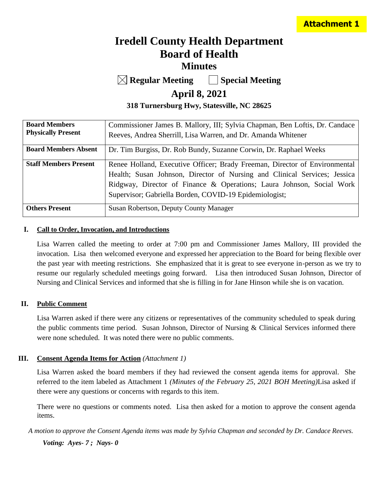# **Iredell County Health Department Board of Health Minutes**

**Regular Meeting Special Meeting**

## **April 8, 2021**

**318 Turnersburg Hwy, Statesville, NC 28625**

| <b>Board Members</b>         | Commissioner James B. Mallory, III; Sylvia Chapman, Ben Loftis, Dr. Candace |
|------------------------------|-----------------------------------------------------------------------------|
| <b>Physically Present</b>    | Reeves, Andrea Sherrill, Lisa Warren, and Dr. Amanda Whitener               |
| <b>Board Members Absent</b>  | Dr. Tim Burgiss, Dr. Rob Bundy, Suzanne Corwin, Dr. Raphael Weeks           |
| <b>Staff Members Present</b> | Renee Holland, Executive Officer; Brady Freeman, Director of Environmental  |
|                              | Health; Susan Johnson, Director of Nursing and Clinical Services; Jessica   |
|                              | Ridgway, Director of Finance & Operations; Laura Johnson, Social Work       |
|                              | Supervisor; Gabriella Borden, COVID-19 Epidemiologist;                      |
| <b>Others Present</b>        | Susan Robertson, Deputy County Manager                                      |

#### **I. Call to Order, Invocation, and Introductions**

Lisa Warren called the meeting to order at 7:00 pm and Commissioner James Mallory, III provided the invocation. Lisa then welcomed everyone and expressed her appreciation to the Board for being flexible over the past year with meeting restrictions. She emphasized that it is great to see everyone in-person as we try to resume our regularly scheduled meetings going forward. Lisa then introduced Susan Johnson, Director of Nursing and Clinical Services and informed that she is filling in for Jane Hinson while she is on vacation.

### **II. Public Comment**

Lisa Warren asked if there were any citizens or representatives of the community scheduled to speak during the public comments time period. Susan Johnson, Director of Nursing & Clinical Services informed there were none scheduled. It was noted there were no public comments.

### **III. Consent Agenda Items for Action** *(Attachment 1)*

Lisa Warren asked the board members if they had reviewed the consent agenda items for approval. She referred to the item labeled as Attachment 1 *(Minutes of the February 25, 2021 BOH Meeting)*Lisa asked if there were any questions or concerns with regards to this item.

There were no questions or comments noted. Lisa then asked for a motion to approve the consent agenda items.

*A motion to approve the Consent Agenda items was made by Sylvia Chapman and seconded by Dr. Candace Reeves.*

*Voting: Ayes- 7 ; Nays- 0*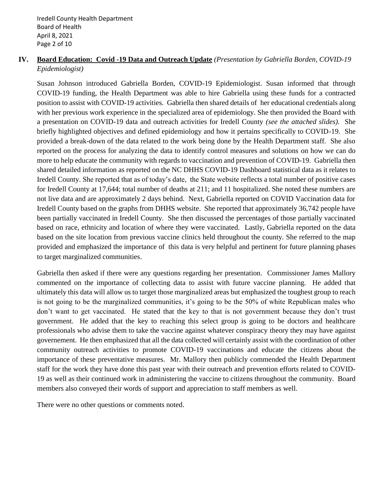## **IV. Board Education: Covid -19 Data and Outreach Update** *(Presentation by Gabriella Borden, COVID-19 Epidemiologist)*

Susan Johnson introduced Gabriella Borden, COVID-19 Epidemiologist. Susan informed that through COVID-19 funding, the Health Department was able to hire Gabriella using these funds for a contracted position to assist with COVID-19 activities. Gabriella then shared details of her educational credentials along with her previous work experience in the specialized area of epidemiology. She then provided the Board with a presentation on COVID-19 data and outreach activities for Iredell County *(see the attached slides).* She briefly highlighted objectives and defined epidemiology and how it pertains specifically to COVID-19. She provided a break-down of the data related to the work being done by the Health Department staff. She also reported on the process for analyzing the data to identify control measures and solutions on how we can do more to help educate the community with regards to vaccination and prevention of COVID-19. Gabriella then shared detailed information as reported on the NC DHHS COVID-19 Dashboard statistical data as it relates to Iredell County. She reported that as of today's date, the State website reflects a total number of positive cases for Iredell County at 17,644; total number of deaths at 211; and 11 hospitalized. She noted these numbers are not live data and are approximately 2 days behind. Next, Gabriella reported on COVID Vaccination data for Iredell County based on the graphs from DHHS website. She reported that approximately 36,742 people have been partially vaccinated in Iredell County. She then discussed the percentages of those partially vaccinated based on race, ethnicity and location of where they were vaccinated. Lastly, Gabriella reported on the data based on the site location from previous vaccine clinics held throughout the county. She referred to the map provided and emphasized the importance of this data is very helpful and pertinent for future planning phases to target marginalized communities.

Gabriella then asked if there were any questions regarding her presentation. Commissioner James Mallory commented on the importance of collecting data to assist with future vaccine planning. He added that ultimately this data will allow us to target those marginalized areas but emphasized the toughest group to reach is not going to be the marginalized communities, it's going to be the 50% of white Republican males who don't want to get vaccinated. He stated that the key to that is not government because they don't trust government. He added that the key to reaching this select group is going to be doctors and healthcare professionals who advise them to take the vaccine against whatever conspiracy theory they may have against governement. He then emphasized that all the data collected will certainly assist with the coordination of other community outreach activities to promote COVID-19 vaccinations and educate the citizens about the importance of these preventative measures. Mr. Mallory then publicly commended the Health Department staff for the work they have done this past year with their outreach and prevention efforts related to COVID-19 as well as their continued work in administering the vaccine to citizens throughout the community. Board members also conveyed their words of support and appreciation to staff members as well.

There were no other questions or comments noted.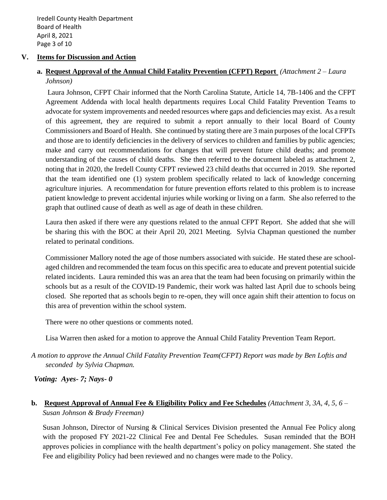Iredell County Health Department Board of Health April 8, 2021 Page 3 of 10

#### **V. Items for Discussion and Action**

## **a. Request Approval of the Annual Child Fatality Prevention (CFPT) Report** *(Attachment 2 – Laura Johnson)*

Laura Johnson, CFPT Chair informed that the North Carolina Statute, Article 14, 7B-1406 and the CFPT Agreement Addenda with local health departments requires Local Child Fatality Prevention Teams to advocate for system improvements and needed resources where gaps and deficiencies may exist. As a result of this agreement, they are required to submit a report annually to their local Board of County Commissioners and Board of Health. She continued by stating there are 3 main purposes of the local CFPTs and those are to identify deficiencies in the delivery of services to children and families by public agencies; make and carry out recommendations for changes that will prevent future child deaths; and promote understanding of the causes of child deaths. She then referred to the document labeled as attachment 2, noting that in 2020, the Iredell County CFPT reviewed 23 child deaths that occurred in 2019. She reported that the team identified one (1) system problem specifically related to lack of knowledge concerning agriculture injuries. A recommendation for future prevention efforts related to this problem is to increase patient knowledge to prevent accidental injuries while working or living on a farm. She also referred to the graph that outlined cause of death as well as age of death in these children.

Laura then asked if there were any questions related to the annual CFPT Report. She added that she will be sharing this with the BOC at their April 20, 2021 Meeting. Sylvia Chapman questioned the number related to perinatal conditions.

Commissioner Mallory noted the age of those numbers associated with suicide. He stated these are schoolaged children and recommended the team focus on this specific area to educate and prevent potential suicide related incidents. Laura reminded this was an area that the team had been focusing on primarily within the schools but as a result of the COVID-19 Pandemic, their work was halted last April due to schools being closed. She reported that as schools begin to re-open, they will once again shift their attention to focus on this area of prevention within the school system.

There were no other questions or comments noted.

Lisa Warren then asked for a motion to approve the Annual Child Fatality Prevention Team Report.

*A motion to approve the Annual Child Fatality Prevention Team(CFPT) Report was made by Ben Loftis and seconded by Sylvia Chapman.*

### *Voting: Ayes- 7; Nays- 0*

## **b. Request Approval of Annual Fee & Eligibility Policy and Fee Schedules** *(Attachment 3, 3A, 4, 5, 6 – Susan Johnson & Brady Freeman)*

Susan Johnson, Director of Nursing & Clinical Services Division presented the Annual Fee Policy along with the proposed FY 2021-22 Clinical Fee and Dental Fee Schedules. Susan reminded that the BOH approves policies in compliance with the health department's policy on policy management. She stated the Fee and eligibility Policy had been reviewed and no changes were made to the Policy.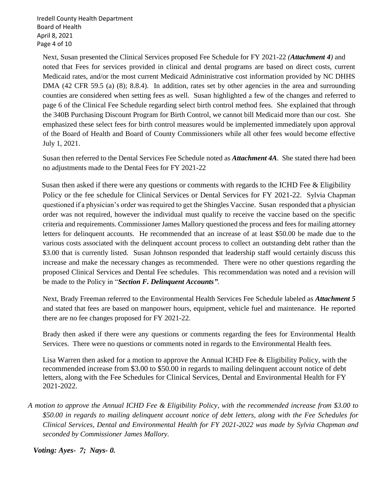Iredell County Health Department Board of Health April 8, 2021 Page 4 of 10

Next, Susan presented the Clinical Services proposed Fee Schedule for FY 2021-22 *(Attachment 4)* and noted that Fees for services provided in clinical and dental programs are based on direct costs, current Medicaid rates, and/or the most current Medicaid Administrative cost information provided by NC DHHS DMA (42 CFR 59.5 (a) (8); 8.8.4). In addition, rates set by other agencies in the area and surrounding counties are considered when setting fees as well. Susan highlighted a few of the changes and referred to page 6 of the Clinical Fee Schedule regarding select birth control method fees. She explained that through the 340B Purchasing Discount Program for Birth Control, we cannot bill Medicaid more than our cost. She emphasized these select fees for birth control measures would be implemented immediately upon approval of the Board of Health and Board of County Commissioners while all other fees would become effective July 1, 2021.

Susan then referred to the Dental Services Fee Schedule noted as *Attachment 4A*. She stated there had been no adjustments made to the Dental Fees for FY 2021-22

Susan then asked if there were any questions or comments with regards to the ICHD Fee & Eligibility Policy or the fee schedule for Clinical Services or Dental Services for FY 2021-22. Sylvia Chapman questioned if a physician's order was required to get the Shingles Vaccine. Susan responded that a physician order was not required, however the individual must qualify to receive the vaccine based on the specific criteria and requirements. Commissioner James Mallory questioned the process and fees for mailing attorney letters for delinquent accounts. He recommended that an increase of at least \$50.00 be made due to the various costs associated with the delinquent account process to collect an outstanding debt rather than the \$3.00 that is currently listed. Susan Johnson responded that leadership staff would certainly discuss this increase and make the necessary changes as recommended. There were no other questions regarding the proposed Clinical Services and Dental Fee schedules. This recommendation was noted and a revision will be made to the Policy in "*Section F. Delinquent Accounts"*.

Next, Brady Freeman referred to the Environmental Health Services Fee Schedule labeled as *Attachment 5* and stated that fees are based on manpower hours, equipment, vehicle fuel and maintenance. He reported there are no fee changes proposed for FY 2021-22.

Brady then asked if there were any questions or comments regarding the fees for Environmental Health Services. There were no questions or comments noted in regards to the Environmental Health fees.

Lisa Warren then asked for a motion to approve the Annual ICHD Fee & Eligibility Policy, with the recommended increase from \$3.00 to \$50.00 in regards to mailing delinquent account notice of debt letters, along with the Fee Schedules for Clinical Services, Dental and Environmental Health for FY 2021-2022.

 *A motion to approve the Annual ICHD Fee & Eligibility Policy, with the recommended increase from \$3.00 to \$50.00 in regards to mailing delinquent account notice of debt letters, along with the Fee Schedules for Clinical Services, Dental and Environmental Health for FY 2021-2022 was made by Sylvia Chapman and seconded by Commissioner James Mallory.* 

*Voting: Ayes- 7; Nays- 0.*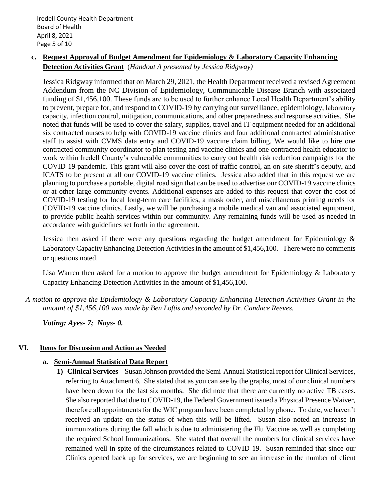### **c. Request Approval of Budget Amendment for Epidemiology & Laboratory Capacity Enhancing Detection Activities Grant** (*Handout A presented by Jessica Ridgway)*

Jessica Ridgway informed that on March 29, 2021, the Health Department received a revised Agreement Addendum from the NC Division of Epidemiology, Communicable Disease Branch with associated funding of \$1,456,100. These funds are to be used to further enhance Local Health Department's ability to prevent, prepare for, and respond to COVID-19 by carrying out surveillance, epidemiology, laboratory capacity, infection control, mitigation, communications, and other preparedness and response activities. She noted that funds will be used to cover the salary, supplies, travel and IT equipment needed for an additional six contracted nurses to help with COVID-19 vaccine clinics and four additional contracted administrative staff to assist with CVMS data entry and COVID-19 vaccine claim billing. We would like to hire one contracted community coordinator to plan testing and vaccine clinics and one contracted health educator to work within Iredell County's vulnerable communities to carry out health risk reduction campaigns for the COVID-19 pandemic. This grant will also cover the cost of traffic control, an on-site sheriff's deputy, and ICATS to be present at all our COVID-19 vaccine clinics. Jessica also added that in this request we are planning to purchase a portable, digital road sign that can be used to advertise our COVID-19 vaccine clinics or at other large community events. Additional expenses are added to this request that cover the cost of COVID-19 testing for local long-term care facilities, a mask order, and miscellaneous printing needs for COVID-19 vaccine clinics. Lastly, we will be purchasing a mobile medical van and associated equipment, to provide public health services within our community. Any remaining funds will be used as needed in accordance with guidelines set forth in the agreement.

Jessica then asked if there were any questions regarding the budget amendment for Epidemiology  $\&$ Laboratory Capacity Enhancing Detection Activities in the amount of \$1,456,100. There were no comments or questions noted.

Lisa Warren then asked for a motion to approve the budget amendment for Epidemiology & Laboratory Capacity Enhancing Detection Activities in the amount of \$1,456,100.

*A motion to approve the Epidemiology & Laboratory Capacity Enhancing Detection Activities Grant in the amount of \$1,456,100 was made by Ben Loftis and seconded by Dr. Candace Reeves.*

*Voting: Ayes- 7; Nays- 0.* 

### **VI. Items for Discussion and Action as Needed**

### **a. Semi-Annual Statistical Data Report**

**1) Clinical Services** – Susan Johnson provided the Semi-Annual Statistical report for Clinical Services, referring to Attachment 6. She stated that as you can see by the graphs, most of our clinical numbers have been down for the last six months. She did note that there are currently no active TB cases. She also reported that due to COVID-19, the Federal Government issued a Physical Presence Waiver, therefore all appointments for the WIC program have been completed by phone. To date, we haven't received an update on the status of when this will be lifted. Susan also noted an increase in immunizations during the fall which is due to administering the Flu Vaccine as well as completing the required School Immunizations. She stated that overall the numbers for clinical services have remained well in spite of the circumstances related to COVID-19. Susan reminded that since our Clinics opened back up for services, we are beginning to see an increase in the number of client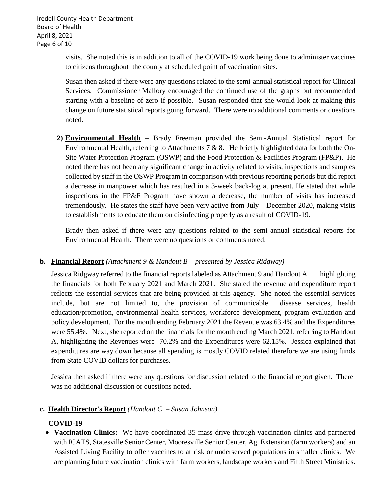Iredell County Health Department Board of Health April 8, 2021 Page 6 of 10

> visits. She noted this is in addition to all of the COVID-19 work being done to administer vaccines to citizens throughout the county at scheduled point of vaccination sites.

> Susan then asked if there were any questions related to the semi-annual statistical report for Clinical Services. Commissioner Mallory encouraged the continued use of the graphs but recommended starting with a baseline of zero if possible. Susan responded that she would look at making this change on future statistical reports going forward. There were no additional comments or questions noted.

**2) Environmental Health** – Brady Freeman provided the Semi-Annual Statistical report for Environmental Health, referring to Attachments 7 & 8. He briefly highlighted data for both the On-Site Water Protection Program (OSWP) and the Food Protection & Facilities Program (FP&P). He noted there has not been any significant change in activity related to visits, inspections and samples collected by staff in the OSWP Program in comparison with previous reporting periods but did report a decrease in manpower which has resulted in a 3-week back-log at present. He stated that while inspections in the FP&F Program have shown a decrease, the number of visits has increased tremendously. He states the staff have been very active from July – December 2020, making visits to establishments to educate them on disinfecting properly as a result of COVID-19.

Brady then asked if there were any questions related to the semi-annual statistical reports for Environmental Health. There were no questions or comments noted.

### **b. Financial Report** *(Attachment 9 & Handout B – presented by Jessica Ridgway)*

Jessica Ridgway referred to the financial reports labeled as Attachment 9 and Handout A highlighting the financials for both February 2021 and March 2021. She stated the revenue and expenditure report reflects the essential services that are being provided at this agency. She noted the essential services include, but are not limited to, the provision of communicable disease services, health education/promotion, environmental health services, workforce development, program evaluation and policy development. For the month ending February 2021 the Revenue was 63.4% and the Expenditures were 55.4%. Next, she reported on the financials for the month ending March 2021, referring to Handout A, highlighting the Revenues were 70.2% and the Expenditures were 62.15%. Jessica explained that expenditures are way down because all spending is mostly COVID related therefore we are using funds from State COVID dollars for purchases.

Jessica then asked if there were any questions for discussion related to the financial report given. There was no additional discussion or questions noted.

#### **c. Health Director's Report** *(Handout C – Susan Johnson)*

### **COVID-19**

• **Vaccination Clinics:** We have coordinated 35 mass drive through vaccination clinics and partnered with ICATS, Statesville Senior Center, Mooresville Senior Center, Ag. Extension (farm workers) and an Assisted Living Facility to offer vaccines to at risk or underserved populations in smaller clinics. We are planning future vaccination clinics with farm workers, landscape workers and Fifth Street Ministries.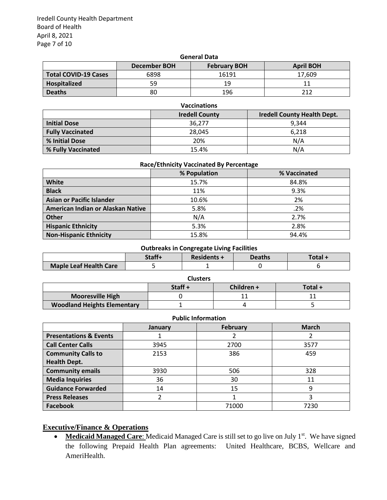Iredell County Health Department Board of Health April 8, 2021 Page 7 of 10

| <b>General Data</b>         |              |                     |                  |
|-----------------------------|--------------|---------------------|------------------|
|                             | December BOH | <b>February BOH</b> | <b>April BOH</b> |
| <b>Total COVID-19 Cases</b> | 6898         | 16191               | 17.609           |
| Hospitalized                | 59           | 19                  |                  |
| <b>Deaths</b>               | 80           | 196                 | つ1つ              |

| <b>Vaccinations</b>     |                       |                                    |
|-------------------------|-----------------------|------------------------------------|
|                         | <b>Iredell County</b> | <b>Iredell County Health Dept.</b> |
| <b>Initial Dose</b>     | 36,277                | 9.344                              |
| <b>Fully Vaccinated</b> | 28,045                | 6,218                              |
| % Initial Dose          | 20%                   | N/A                                |
| % Fully Vaccinated      | 15.4%                 | N/A                                |

#### **Race/Ethnicity Vaccinated By Percentage**

|                                   | % Population | % Vaccinated |
|-----------------------------------|--------------|--------------|
| White                             | 15.7%        | 84.8%        |
| <b>Black</b>                      | 11%          | 9.3%         |
| Asian or Pacific Islander         | 10.6%        | 2%           |
| American Indian or Alaskan Native | 5.8%         | .2%          |
| Other                             | N/A          | 2.7%         |
| <b>Hispanic Ethnicity</b>         | 5.3%         | 2.8%         |
| <b>Non-Hispanic Ethnicity</b>     | 15.8%        | 94.4%        |

#### **Outbreaks in Congregate Living Facilities**

|                        | Staff+ | <b>Residents +</b> | <b>Deaths</b> | Total - |
|------------------------|--------|--------------------|---------------|---------|
| Maple Leaf Health Care |        |                    |               |         |

| <b>Clusters</b>                    |        |            |         |
|------------------------------------|--------|------------|---------|
|                                    | Staff+ | Children + | Total + |
| <b>Mooresville High</b>            |        |            |         |
| <b>Woodland Heights Elementary</b> |        |            |         |

| г чынс шпогттастон                |         |                 |              |
|-----------------------------------|---------|-----------------|--------------|
|                                   | January | <b>February</b> | <b>March</b> |
| <b>Presentations &amp; Events</b> |         |                 |              |
| <b>Call Center Calls</b>          | 3945    | 2700            | 3577         |
| <b>Community Calls to</b>         | 2153    | 386             | 459          |
| <b>Health Dept.</b>               |         |                 |              |
| <b>Community emails</b>           | 3930    | 506             | 328          |
| <b>Media Inquiries</b>            | 36      | 30              | 11           |
| <b>Guidance Forwarded</b>         | 14      | 15              | 9            |
| <b>Press Releases</b>             |         |                 |              |
| Facebook                          |         | 71000           | 7230         |

#### **Executive/Finance & Operations**

• Medicaid Managed Care: Medicaid Managed Care is still set to go live on July 1<sup>st</sup>. We have signed the following Prepaid Health Plan agreements: United Healthcare, BCBS, Wellcare and AmeriHealth.

### **Public Information**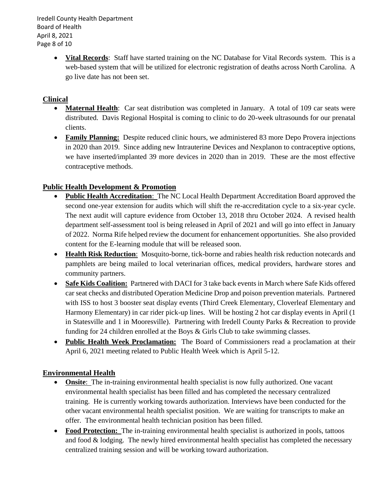Iredell County Health Department Board of Health April 8, 2021 Page 8 of 10

> • **Vital Records**: Staff have started training on the NC Database for Vital Records system. This is a web-based system that will be utilized for electronic registration of deaths across North Carolina. A go live date has not been set.

### **Clinical**

- **Maternal Health**: Car seat distribution was completed in January. A total of 109 car seats were distributed. Davis Regional Hospital is coming to clinic to do 20-week ultrasounds for our prenatal clients.
- **Family Planning:** Despite reduced clinic hours, we administered 83 more Depo Provera injections in 2020 than 2019. Since adding new Intrauterine Devices and Nexplanon to contraceptive options, we have inserted/implanted 39 more devices in 2020 than in 2019. These are the most effective contraceptive methods.

## **Public Health Development & Promotion**

- **Public Health Accreditation**: The NC Local Health Department Accreditation Board approved the second one-year extension for audits which will shift the re-accreditation cycle to a six-year cycle. The next audit will capture evidence from October 13, 2018 thru October 2024. A revised health department self-assessment tool is being released in April of 2021 and will go into effect in January of 2022. Norma Rife helped review the document for enhancement opportunities. She also provided content for the E-learning module that will be released soon.
- **Health Risk Reduction**: Mosquito-borne, tick-borne and rabies health risk reduction notecards and pamphlets are being mailed to local veterinarian offices, medical providers, hardware stores and community partners.
- **Safe Kids Coalition:** Partnered with DACI for 3 take back events in March where Safe Kids offered car seat checks and distributed Operation Medicine Drop and poison prevention materials. Partnered with ISS to host 3 booster seat display events (Third Creek Elementary, Cloverleaf Elementary and Harmony Elementary) in car rider pick-up lines. Will be hosting 2 hot car display events in April (1 in Statesville and 1 in Mooresville). Partnering with Iredell County Parks & Recreation to provide funding for 24 children enrolled at the Boys & Girls Club to take swimming classes.
- **Public Health Week Proclamation:** The Board of Commissioners read a proclamation at their April 6, 2021 meeting related to Public Health Week which is April 5-12.

### **Environmental Health**

- **Onsite:** The in-training environmental health specialist is now fully authorized. One vacant environmental health specialist has been filled and has completed the necessary centralized training. He is currently working towards authorization. Interviews have been conducted for the other vacant environmental health specialist position. We are waiting for transcripts to make an offer. The environmental health technician position has been filled.
- **Food Protection:** The in-training environmental health specialist is authorized in pools, tattoos and food  $\&$  lodging. The newly hired environmental health specialist has completed the necessary centralized training session and will be working toward authorization.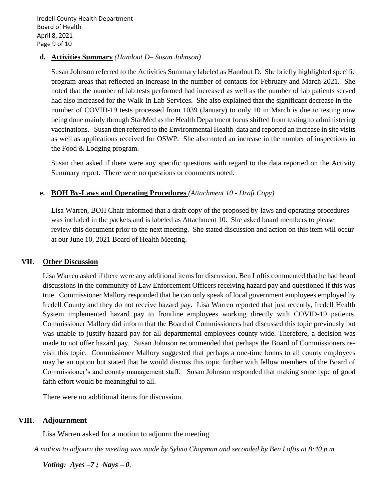Iredell County Health Department Board of Health April 8, 2021 Page 9 of 10

#### **d. Activities Summary** *(Handout D– Susan Johnson)*

Susan Johnson referred to the Activities Summary labeled as Handout D. She briefly highlighted specific program areas that reflected an increase in the number of contacts for February and March 2021. She noted that the number of lab tests performed had increased as well as the number of lab patients served had also increased for the Walk-In Lab Services. She also explained that the significant decrease in the number of COVID-19 tests processed from 1039 (January) to only 10 in March is due to testing now being done mainly through StarMed as the Health Department focus shifted from testing to administering vaccinations. Susan then referred to the Environmental Health data and reported an increase in site visits as well as applications received for OSWP. She also noted an increase in the number of inspections in the Food & Lodging program.

Susan then asked if there were any specific questions with regard to the data reported on the Activity Summary report. There were no questions or comments noted.

#### **e. BOH By-Laws and Operating Procedures** *(Attachment 10* **-** *Draft Copy)*

Lisa Warren, BOH Chair informed that a draft copy of the proposed by-laws and operating procedures was included in the packets and is labeled as Attachment 10. She asked board members to please review this document prior to the next meeting. She stated discussion and action on this item will occur at our June 10, 2021 Board of Health Meeting.

#### **VII. Other Discussion**

Lisa Warren asked if there were any additional items for discussion. Ben Loftis commented that he had heard discussions in the community of Law Enforcement Officers receiving hazard pay and questioned if this was true. Commissioner Mallory responded that he can only speak of local government employees employed by Iredell County and they do not receive hazard pay. Lisa Warren reported that just recently, Iredell Health System implemented hazard pay to frontline employees working directly with COVID-19 patients. Commissioner Mallory did inform that the Board of Commissioners had discussed this topic previously but was unable to justify hazard pay for all departmental employees county-wide. Therefore, a decision was made to not offer hazard pay. Susan Johnson recommended that perhaps the Board of Commissioners revisit this topic. Commissioner Mallory suggested that perhaps a one-time bonus to all county employees may be an option but stated that he would discuss this topic further with fellow members of the Board of Commissioner's and county management staff. Susan Johnson responded that making some type of good faith effort would be meaningful to all.

There were no additional items for discussion.

#### **VIII. Adjournment**

Lisa Warren asked for a motion to adjourn the meeting.

*A motion to adjourn the meeting was made by Sylvia Chapman and seconded by Ben Loftis at 8:40 p.m.*

*Voting: Ayes –7 ; Nays – 0.*